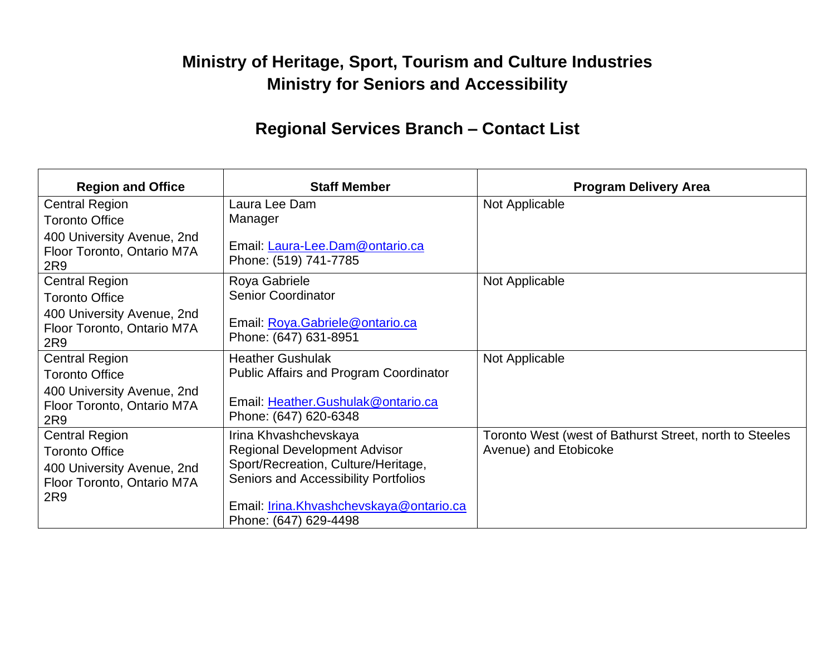## **Ministry of Heritage, Sport, Tourism and Culture Industries Ministry for Seniors and Accessibility**

## **Regional Services Branch – Contact List**

| <b>Region and Office</b>                                        | <b>Staff Member</b>                                                     | <b>Program Delivery Area</b>                            |
|-----------------------------------------------------------------|-------------------------------------------------------------------------|---------------------------------------------------------|
| <b>Central Region</b>                                           | Laura Lee Dam                                                           | Not Applicable                                          |
| <b>Toronto Office</b>                                           | Manager                                                                 |                                                         |
| 400 University Avenue, 2nd<br>Floor Toronto, Ontario M7A<br>2R9 | Email: Laura-Lee.Dam@ontario.ca<br>Phone: (519) 741-7785                |                                                         |
| <b>Central Region</b>                                           | Roya Gabriele                                                           | Not Applicable                                          |
| <b>Toronto Office</b>                                           | <b>Senior Coordinator</b>                                               |                                                         |
| 400 University Avenue, 2nd<br>Floor Toronto, Ontario M7A<br>2R9 | Email: Roya.Gabriele@ontario.ca<br>Phone: (647) 631-8951                |                                                         |
| <b>Central Region</b>                                           | <b>Heather Gushulak</b>                                                 | Not Applicable                                          |
| <b>Toronto Office</b>                                           | <b>Public Affairs and Program Coordinator</b>                           |                                                         |
| 400 University Avenue, 2nd<br>Floor Toronto, Ontario M7A<br>2R9 | Email: Heather.Gushulak@ontario.ca<br>Phone: (647) 620-6348             |                                                         |
| <b>Central Region</b>                                           | Irina Khvashchevskaya                                                   | Toronto West (west of Bathurst Street, north to Steeles |
| <b>Toronto Office</b>                                           | <b>Regional Development Advisor</b>                                     | Avenue) and Etobicoke                                   |
| 400 University Avenue, 2nd                                      | Sport/Recreation, Culture/Heritage,                                     |                                                         |
| Floor Toronto, Ontario M7A                                      | Seniors and Accessibility Portfolios                                    |                                                         |
| 2R9                                                             | Email: <i>Irina.Khvashchevskaya@ontario.ca</i><br>Phone: (647) 629-4498 |                                                         |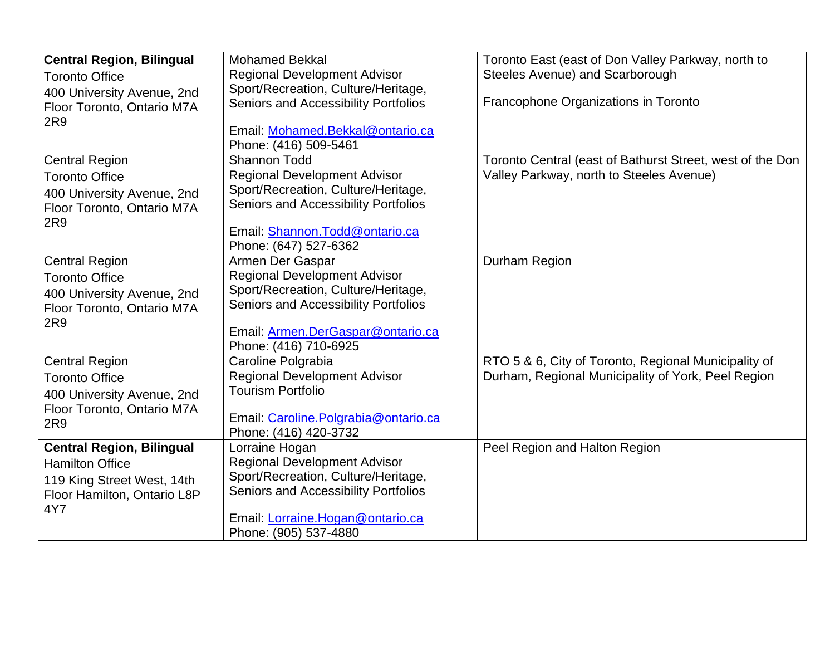| <b>Central Region, Bilingual</b>   | <b>Mohamed Bekkal</b>                                          | Toronto East (east of Don Valley Parkway, north to        |
|------------------------------------|----------------------------------------------------------------|-----------------------------------------------------------|
| <b>Toronto Office</b>              | <b>Regional Development Advisor</b>                            | Steeles Avenue) and Scarborough                           |
| 400 University Avenue, 2nd         | Sport/Recreation, Culture/Heritage,                            |                                                           |
| Floor Toronto, Ontario M7A         | Seniors and Accessibility Portfolios                           | Francophone Organizations in Toronto                      |
| 2R9                                |                                                                |                                                           |
|                                    | Email: Mohamed.Bekkal@ontario.ca                               |                                                           |
|                                    | Phone: (416) 509-5461                                          |                                                           |
| <b>Central Region</b>              | <b>Shannon Todd</b>                                            | Toronto Central (east of Bathurst Street, west of the Don |
| <b>Toronto Office</b>              | <b>Regional Development Advisor</b>                            | Valley Parkway, north to Steeles Avenue)                  |
| 400 University Avenue, 2nd         | Sport/Recreation, Culture/Heritage,                            |                                                           |
| Floor Toronto, Ontario M7A         | Seniors and Accessibility Portfolios                           |                                                           |
| 2R9                                | Email: Shannon. Todd@ontario.ca                                |                                                           |
|                                    | Phone: (647) 527-6362                                          |                                                           |
| <b>Central Region</b>              | Armen Der Gaspar                                               | Durham Region                                             |
| <b>Toronto Office</b>              | <b>Regional Development Advisor</b>                            |                                                           |
| 400 University Avenue, 2nd         | Sport/Recreation, Culture/Heritage,                            |                                                           |
| Floor Toronto, Ontario M7A         | Seniors and Accessibility Portfolios                           |                                                           |
| 2R9                                |                                                                |                                                           |
|                                    | Email: Armen.DerGaspar@ontario.ca                              |                                                           |
|                                    | Phone: (416) 710-6925                                          |                                                           |
| <b>Central Region</b>              | Caroline Polgrabia                                             | RTO 5 & 6, City of Toronto, Regional Municipality of      |
| <b>Toronto Office</b>              | <b>Regional Development Advisor</b>                            | Durham, Regional Municipality of York, Peel Region        |
| 400 University Avenue, 2nd         | <b>Tourism Portfolio</b>                                       |                                                           |
| Floor Toronto, Ontario M7A         |                                                                |                                                           |
| 2R9                                | Email: Caroline. Polgrabia@ontario.ca<br>Phone: (416) 420-3732 |                                                           |
| <b>Central Region, Bilingual</b>   | Lorraine Hogan                                                 | Peel Region and Halton Region                             |
| <b>Hamilton Office</b>             | Regional Development Advisor                                   |                                                           |
|                                    | Sport/Recreation, Culture/Heritage,                            |                                                           |
| 119 King Street West, 14th         | Seniors and Accessibility Portfolios                           |                                                           |
| Floor Hamilton, Ontario L8P<br>4Y7 |                                                                |                                                           |
|                                    | Email: Lorraine. Hogan@ontario.ca                              |                                                           |
|                                    | Phone: (905) 537-4880                                          |                                                           |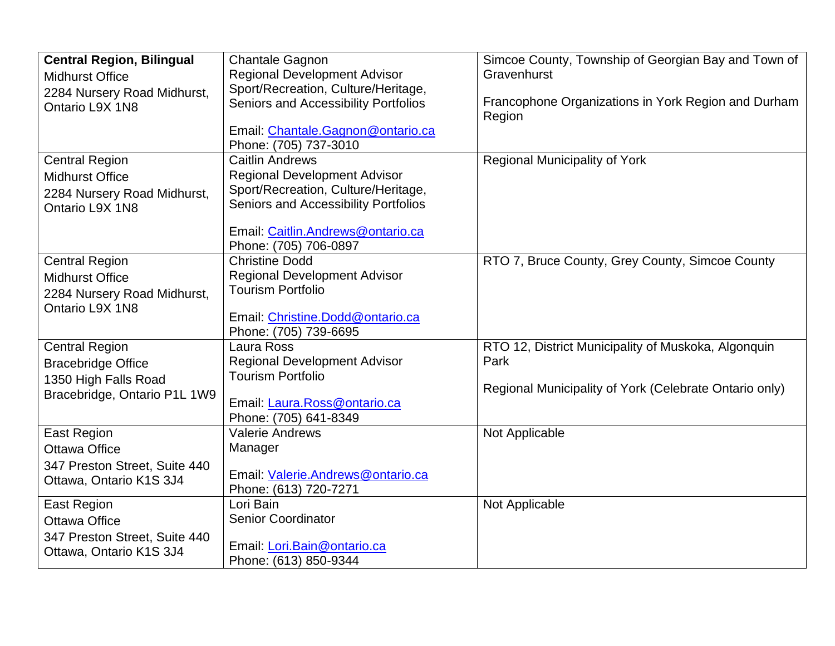| <b>Central Region, Bilingual</b><br><b>Midhurst Office</b><br>2284 Nursery Road Midhurst,                  | <b>Chantale Gagnon</b><br><b>Regional Development Advisor</b><br>Sport/Recreation, Culture/Heritage,                                                                                                              | Simcoe County, Township of Georgian Bay and Town of<br>Gravenhurst                                                    |
|------------------------------------------------------------------------------------------------------------|-------------------------------------------------------------------------------------------------------------------------------------------------------------------------------------------------------------------|-----------------------------------------------------------------------------------------------------------------------|
| Ontario L9X 1N8                                                                                            | Seniors and Accessibility Portfolios<br>Email: Chantale. Gagnon@ontario.ca<br>Phone: (705) 737-3010                                                                                                               | Francophone Organizations in York Region and Durham<br>Region                                                         |
| <b>Central Region</b><br><b>Midhurst Office</b><br>2284 Nursery Road Midhurst,<br>Ontario L9X 1N8          | <b>Caitlin Andrews</b><br><b>Regional Development Advisor</b><br>Sport/Recreation, Culture/Heritage,<br><b>Seniors and Accessibility Portfolios</b><br>Email: Caitlin.Andrews@ontario.ca<br>Phone: (705) 706-0897 | <b>Regional Municipality of York</b>                                                                                  |
| <b>Central Region</b><br><b>Midhurst Office</b><br>2284 Nursery Road Midhurst,<br>Ontario L9X 1N8          | <b>Christine Dodd</b><br><b>Regional Development Advisor</b><br><b>Tourism Portfolio</b><br>Email: Christine.Dodd@ontario.ca<br>Phone: (705) 739-6695                                                             | RTO 7, Bruce County, Grey County, Simcoe County                                                                       |
| <b>Central Region</b><br><b>Bracebridge Office</b><br>1350 High Falls Road<br>Bracebridge, Ontario P1L 1W9 | Laura Ross<br><b>Regional Development Advisor</b><br><b>Tourism Portfolio</b><br>Email: Laura.Ross@ontario.ca<br>Phone: (705) 641-8349                                                                            | RTO 12, District Municipality of Muskoka, Algonquin<br>Park<br>Regional Municipality of York (Celebrate Ontario only) |
| <b>East Region</b><br><b>Ottawa Office</b><br>347 Preston Street, Suite 440<br>Ottawa, Ontario K1S 3J4     | <b>Valerie Andrews</b><br>Manager<br>Email: Valerie.Andrews@ontario.ca<br>Phone: (613) 720-7271                                                                                                                   | Not Applicable                                                                                                        |
| <b>East Region</b><br><b>Ottawa Office</b><br>347 Preston Street, Suite 440<br>Ottawa, Ontario K1S 3J4     | Lori Bain<br><b>Senior Coordinator</b><br>Email: Lori.Bain@ontario.ca<br>Phone: (613) 850-9344                                                                                                                    | Not Applicable                                                                                                        |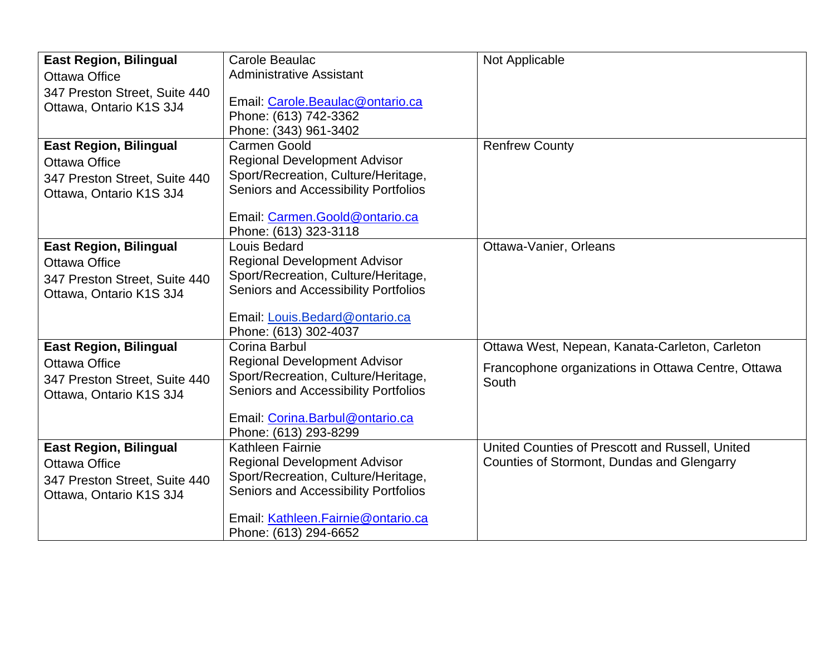| <b>East Region, Bilingual</b>                            | Carole Beaulac                                                                     | Not Applicable                                     |
|----------------------------------------------------------|------------------------------------------------------------------------------------|----------------------------------------------------|
| <b>Ottawa Office</b>                                     | <b>Administrative Assistant</b>                                                    |                                                    |
| 347 Preston Street, Suite 440<br>Ottawa, Ontario K1S 3J4 | Email: Carole.Beaulac@ontario.ca<br>Phone: (613) 742-3362<br>Phone: (343) 961-3402 |                                                    |
| <b>East Region, Bilingual</b>                            | Carmen Goold                                                                       | <b>Renfrew County</b>                              |
| <b>Ottawa Office</b>                                     | Regional Development Advisor                                                       |                                                    |
| 347 Preston Street, Suite 440                            | Sport/Recreation, Culture/Heritage,                                                |                                                    |
| Ottawa, Ontario K1S 3J4                                  | Seniors and Accessibility Portfolios                                               |                                                    |
|                                                          | Email: Carmen.Goold@ontario.ca<br>Phone: (613) 323-3118                            |                                                    |
| <b>East Region, Bilingual</b>                            | Louis Bedard                                                                       | Ottawa-Vanier, Orleans                             |
| <b>Ottawa Office</b>                                     | <b>Regional Development Advisor</b>                                                |                                                    |
| 347 Preston Street, Suite 440                            | Sport/Recreation, Culture/Heritage,                                                |                                                    |
| Ottawa, Ontario K1S 3J4                                  | Seniors and Accessibility Portfolios                                               |                                                    |
|                                                          | Email: Louis.Bedard@ontario.ca<br>Phone: (613) 302-4037                            |                                                    |
| <b>East Region, Bilingual</b>                            | Corina Barbul                                                                      | Ottawa West, Nepean, Kanata-Carleton, Carleton     |
| Ottawa Office                                            | <b>Regional Development Advisor</b>                                                | Francophone organizations in Ottawa Centre, Ottawa |
| 347 Preston Street, Suite 440                            | Sport/Recreation, Culture/Heritage,                                                | South                                              |
| Ottawa, Ontario K1S 3J4                                  | Seniors and Accessibility Portfolios                                               |                                                    |
|                                                          | Email: Corina.Barbul@ontario.ca                                                    |                                                    |
|                                                          | Phone: (613) 293-8299                                                              |                                                    |
| <b>East Region, Bilingual</b>                            | Kathleen Fairnie                                                                   | United Counties of Prescott and Russell, United    |
| <b>Ottawa Office</b>                                     | <b>Regional Development Advisor</b>                                                | Counties of Stormont, Dundas and Glengarry         |
| 347 Preston Street, Suite 440                            | Sport/Recreation, Culture/Heritage,                                                |                                                    |
| Ottawa, Ontario K1S 3J4                                  | Seniors and Accessibility Portfolios                                               |                                                    |
|                                                          | Email: Kathleen.Fairnie@ontario.ca                                                 |                                                    |
|                                                          | Phone: (613) 294-6652                                                              |                                                    |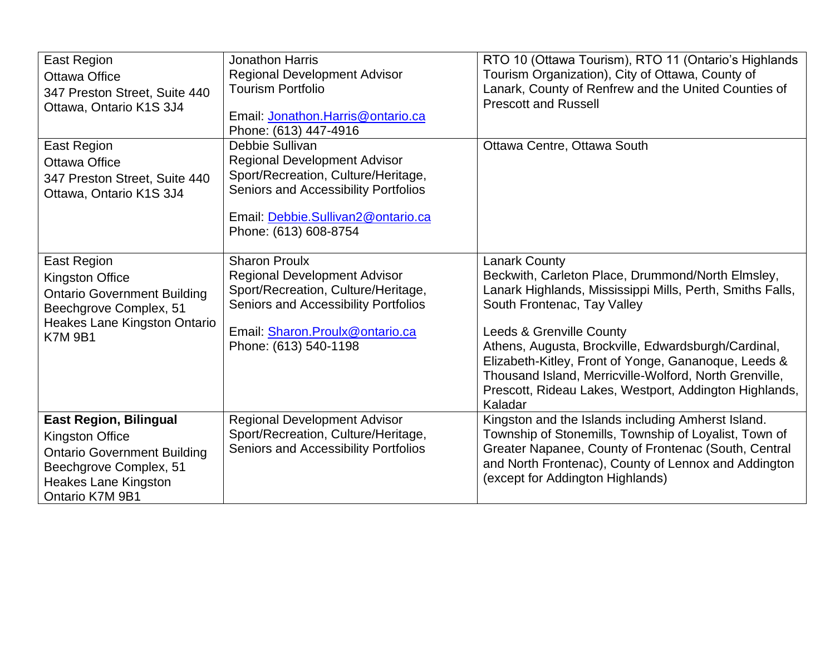| <b>East Region</b><br><b>Ottawa Office</b><br>347 Preston Street, Suite 440<br>Ottawa, Ontario K1S 3J4                                                                    | <b>Jonathon Harris</b><br><b>Regional Development Advisor</b><br><b>Tourism Portfolio</b><br>Email: Jonathon.Harris@ontario.ca<br>Phone: (613) 447-4916                                                | RTO 10 (Ottawa Tourism), RTO 11 (Ontario's Highlands<br>Tourism Organization), City of Ottawa, County of<br>Lanark, County of Renfrew and the United Counties of<br><b>Prescott and Russell</b>                                                                                                                                                                                                                                                 |
|---------------------------------------------------------------------------------------------------------------------------------------------------------------------------|--------------------------------------------------------------------------------------------------------------------------------------------------------------------------------------------------------|-------------------------------------------------------------------------------------------------------------------------------------------------------------------------------------------------------------------------------------------------------------------------------------------------------------------------------------------------------------------------------------------------------------------------------------------------|
| East Region<br><b>Ottawa Office</b><br>347 Preston Street, Suite 440<br>Ottawa, Ontario K1S 3J4                                                                           | Debbie Sullivan<br><b>Regional Development Advisor</b><br>Sport/Recreation, Culture/Heritage,<br>Seniors and Accessibility Portfolios<br>Email: Debbie.Sullivan2@ontario.ca<br>Phone: (613) 608-8754   | Ottawa Centre, Ottawa South                                                                                                                                                                                                                                                                                                                                                                                                                     |
| <b>East Region</b><br><b>Kingston Office</b><br><b>Ontario Government Building</b><br>Beechgrove Complex, 51<br>Heakes Lane Kingston Ontario<br><b>K7M9B1</b>             | <b>Sharon Proulx</b><br><b>Regional Development Advisor</b><br>Sport/Recreation, Culture/Heritage,<br>Seniors and Accessibility Portfolios<br>Email: Sharon.Proulx@ontario.ca<br>Phone: (613) 540-1198 | <b>Lanark County</b><br>Beckwith, Carleton Place, Drummond/North Elmsley,<br>Lanark Highlands, Mississippi Mills, Perth, Smiths Falls,<br>South Frontenac, Tay Valley<br>Leeds & Grenville County<br>Athens, Augusta, Brockville, Edwardsburgh/Cardinal,<br>Elizabeth-Kitley, Front of Yonge, Gananoque, Leeds &<br>Thousand Island, Merricville-Wolford, North Grenville,<br>Prescott, Rideau Lakes, Westport, Addington Highlands,<br>Kaladar |
| <b>East Region, Bilingual</b><br><b>Kingston Office</b><br><b>Ontario Government Building</b><br>Beechgrove Complex, 51<br><b>Heakes Lane Kingston</b><br>Ontario K7M 9B1 | <b>Regional Development Advisor</b><br>Sport/Recreation, Culture/Heritage,<br>Seniors and Accessibility Portfolios                                                                                     | Kingston and the Islands including Amherst Island.<br>Township of Stonemills, Township of Loyalist, Town of<br>Greater Napanee, County of Frontenac (South, Central<br>and North Frontenac), County of Lennox and Addington<br>(except for Addington Highlands)                                                                                                                                                                                 |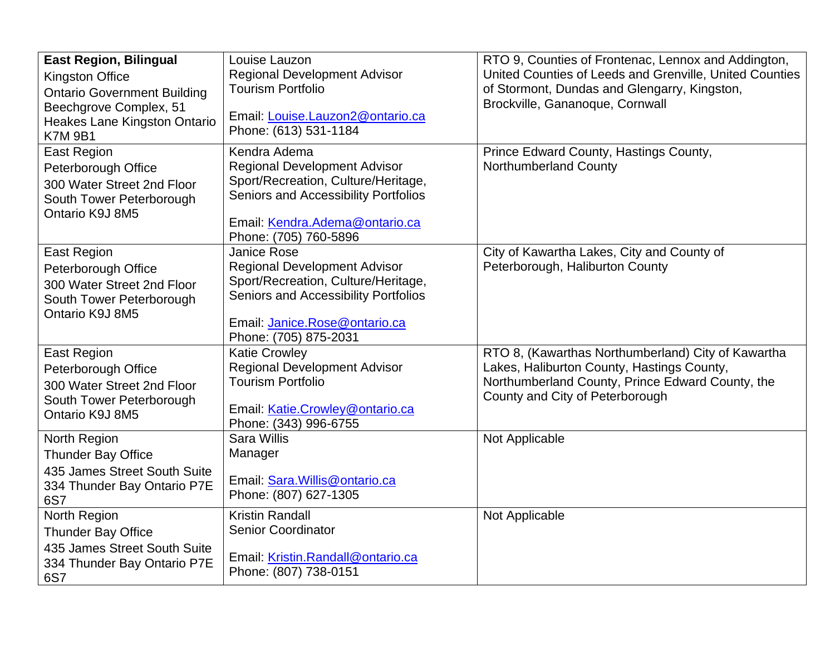| <b>East Region, Bilingual</b>                                | Louise Lauzon                                                              | RTO 9, Counties of Frontenac, Lennox and Addington,                                                     |
|--------------------------------------------------------------|----------------------------------------------------------------------------|---------------------------------------------------------------------------------------------------------|
| <b>Kingston Office</b><br><b>Ontario Government Building</b> | <b>Regional Development Advisor</b><br><b>Tourism Portfolio</b>            | United Counties of Leeds and Grenville, United Counties<br>of Stormont, Dundas and Glengarry, Kingston, |
| Beechgrove Complex, 51                                       |                                                                            | Brockville, Gananoque, Cornwall                                                                         |
| Heakes Lane Kingston Ontario                                 | Email: Louise.Lauzon2@ontario.ca<br>Phone: (613) 531-1184                  |                                                                                                         |
| <b>K7M 9B1</b>                                               |                                                                            |                                                                                                         |
| <b>East Region</b>                                           | Kendra Adema                                                               | Prince Edward County, Hastings County,                                                                  |
| Peterborough Office                                          | <b>Regional Development Advisor</b><br>Sport/Recreation, Culture/Heritage, | Northumberland County                                                                                   |
| 300 Water Street 2nd Floor<br>South Tower Peterborough       | Seniors and Accessibility Portfolios                                       |                                                                                                         |
| Ontario K9J 8M5                                              |                                                                            |                                                                                                         |
|                                                              | Email: Kendra.Adema@ontario.ca                                             |                                                                                                         |
|                                                              | Phone: (705) 760-5896                                                      |                                                                                                         |
| <b>East Region</b>                                           | <b>Janice Rose</b>                                                         | City of Kawartha Lakes, City and County of                                                              |
| Peterborough Office                                          | <b>Regional Development Advisor</b><br>Sport/Recreation, Culture/Heritage, | Peterborough, Haliburton County                                                                         |
| 300 Water Street 2nd Floor                                   | Seniors and Accessibility Portfolios                                       |                                                                                                         |
| South Tower Peterborough<br>Ontario K9J 8M5                  |                                                                            |                                                                                                         |
|                                                              | Email: Janice.Rose@ontario.ca                                              |                                                                                                         |
|                                                              | Phone: (705) 875-2031                                                      |                                                                                                         |
| East Region                                                  | <b>Katie Crowley</b>                                                       | RTO 8, (Kawarthas Northumberland) City of Kawartha                                                      |
| Peterborough Office                                          | <b>Regional Development Advisor</b><br><b>Tourism Portfolio</b>            | Lakes, Haliburton County, Hastings County,                                                              |
| 300 Water Street 2nd Floor                                   |                                                                            | Northumberland County, Prince Edward County, the<br>County and City of Peterborough                     |
| South Tower Peterborough<br>Ontario K9J 8M5                  | Email: Katie.Crowley@ontario.ca                                            |                                                                                                         |
|                                                              | Phone: (343) 996-6755                                                      |                                                                                                         |
| North Region                                                 | <b>Sara Willis</b>                                                         | Not Applicable                                                                                          |
| <b>Thunder Bay Office</b>                                    | Manager                                                                    |                                                                                                         |
| 435 James Street South Suite                                 | Email: Sara. Willis@ontario.ca                                             |                                                                                                         |
| 334 Thunder Bay Ontario P7E                                  | Phone: (807) 627-1305                                                      |                                                                                                         |
| 6S7<br>North Region                                          | <b>Kristin Randall</b>                                                     | Not Applicable                                                                                          |
| <b>Thunder Bay Office</b>                                    | <b>Senior Coordinator</b>                                                  |                                                                                                         |
| 435 James Street South Suite                                 |                                                                            |                                                                                                         |
| 334 Thunder Bay Ontario P7E                                  | Email: Kristin.Randall@ontario.ca                                          |                                                                                                         |
| 6S7                                                          | Phone: (807) 738-0151                                                      |                                                                                                         |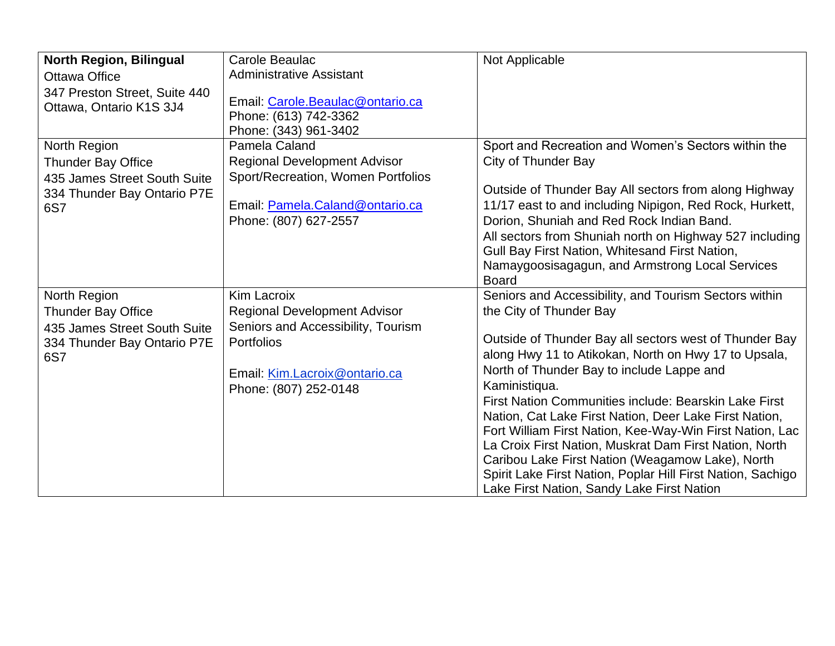| <b>North Region, Bilingual</b><br>Ottawa Office                                                                 | Carole Beaulac<br><b>Administrative Assistant</b>                                                                                                                              | Not Applicable                                                                                                                                                                                                                                                                                                                                                                                                                                                                                                                                                                                                                                                             |
|-----------------------------------------------------------------------------------------------------------------|--------------------------------------------------------------------------------------------------------------------------------------------------------------------------------|----------------------------------------------------------------------------------------------------------------------------------------------------------------------------------------------------------------------------------------------------------------------------------------------------------------------------------------------------------------------------------------------------------------------------------------------------------------------------------------------------------------------------------------------------------------------------------------------------------------------------------------------------------------------------|
| 347 Preston Street, Suite 440<br>Ottawa, Ontario K1S 3J4                                                        | Email: Carole.Beaulac@ontario.ca<br>Phone: (613) 742-3362<br>Phone: (343) 961-3402                                                                                             |                                                                                                                                                                                                                                                                                                                                                                                                                                                                                                                                                                                                                                                                            |
| North Region<br><b>Thunder Bay Office</b><br>435 James Street South Suite<br>334 Thunder Bay Ontario P7E<br>6S7 | Pamela Caland<br><b>Regional Development Advisor</b><br>Sport/Recreation, Women Portfolios<br>Email: Pamela.Caland@ontario.ca<br>Phone: (807) 627-2557                         | Sport and Recreation and Women's Sectors within the<br><b>City of Thunder Bay</b><br>Outside of Thunder Bay All sectors from along Highway<br>11/17 east to and including Nipigon, Red Rock, Hurkett,<br>Dorion, Shuniah and Red Rock Indian Band.<br>All sectors from Shuniah north on Highway 527 including<br>Gull Bay First Nation, Whitesand First Nation,<br>Namaygoosisagagun, and Armstrong Local Services<br><b>Board</b>                                                                                                                                                                                                                                         |
| North Region<br>Thunder Bay Office<br>435 James Street South Suite<br>334 Thunder Bay Ontario P7E<br>6S7        | <b>Kim Lacroix</b><br><b>Regional Development Advisor</b><br>Seniors and Accessibility, Tourism<br><b>Portfolios</b><br>Email: Kim.Lacroix@ontario.ca<br>Phone: (807) 252-0148 | Seniors and Accessibility, and Tourism Sectors within<br>the City of Thunder Bay<br>Outside of Thunder Bay all sectors west of Thunder Bay<br>along Hwy 11 to Atikokan, North on Hwy 17 to Upsala,<br>North of Thunder Bay to include Lappe and<br>Kaministiqua.<br>First Nation Communities include: Bearskin Lake First<br>Nation, Cat Lake First Nation, Deer Lake First Nation,<br>Fort William First Nation, Kee-Way-Win First Nation, Lac<br>La Croix First Nation, Muskrat Dam First Nation, North<br>Caribou Lake First Nation (Weagamow Lake), North<br>Spirit Lake First Nation, Poplar Hill First Nation, Sachigo<br>Lake First Nation, Sandy Lake First Nation |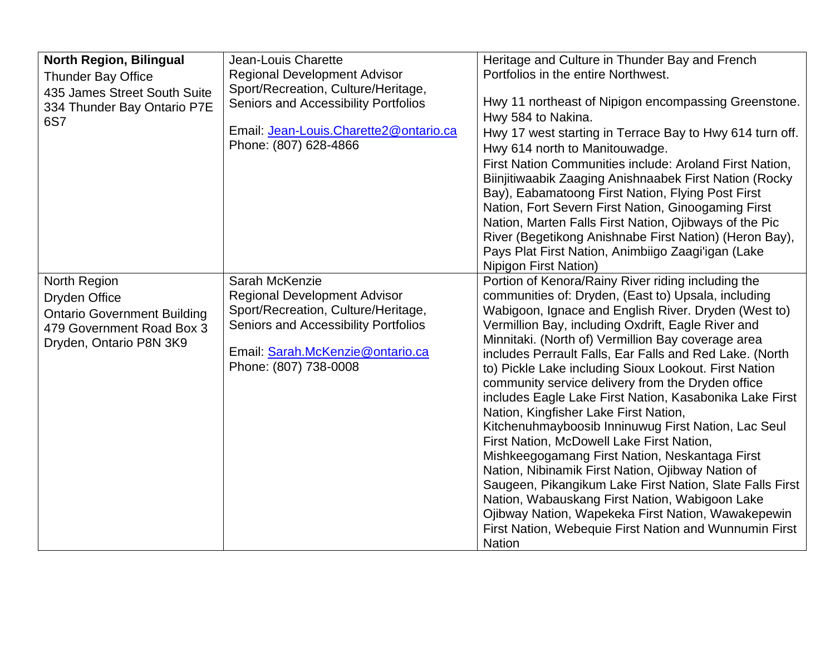| <b>North Region, Bilingual</b><br><b>Thunder Bay Office</b><br>435 James Street South Suite<br>334 Thunder Bay Ontario P7E<br>6S7 | Jean-Louis Charette<br><b>Regional Development Advisor</b><br>Sport/Recreation, Culture/Heritage,<br>Seniors and Accessibility Portfolios<br>Email: Jean-Louis.Charette2@ontario.ca<br>Phone: (807) 628-4866 | Heritage and Culture in Thunder Bay and French<br>Portfolios in the entire Northwest.<br>Hwy 11 northeast of Nipigon encompassing Greenstone.<br>Hwy 584 to Nakina.<br>Hwy 17 west starting in Terrace Bay to Hwy 614 turn off.<br>Hwy 614 north to Manitouwadge.<br>First Nation Communities include: Aroland First Nation,<br>Biinjitiwaabik Zaaging Anishnaabek First Nation (Rocky<br>Bay), Eabamatoong First Nation, Flying Post First<br>Nation, Fort Severn First Nation, Ginoogaming First<br>Nation, Marten Falls First Nation, Ojibways of the Pic<br>River (Begetikong Anishnabe First Nation) (Heron Bay),<br>Pays Plat First Nation, Animbiigo Zaagi'igan (Lake<br><b>Nipigon First Nation)</b>                                                                                                                                                                                                                                                                                                         |
|-----------------------------------------------------------------------------------------------------------------------------------|--------------------------------------------------------------------------------------------------------------------------------------------------------------------------------------------------------------|----------------------------------------------------------------------------------------------------------------------------------------------------------------------------------------------------------------------------------------------------------------------------------------------------------------------------------------------------------------------------------------------------------------------------------------------------------------------------------------------------------------------------------------------------------------------------------------------------------------------------------------------------------------------------------------------------------------------------------------------------------------------------------------------------------------------------------------------------------------------------------------------------------------------------------------------------------------------------------------------------------------------|
| North Region<br>Dryden Office<br><b>Ontario Government Building</b><br>479 Government Road Box 3<br>Dryden, Ontario P8N 3K9       | Sarah McKenzie<br><b>Regional Development Advisor</b><br>Sport/Recreation, Culture/Heritage,<br>Seniors and Accessibility Portfolios<br>Email: Sarah.McKenzie@ontario.ca<br>Phone: (807) 738-0008            | Portion of Kenora/Rainy River riding including the<br>communities of: Dryden, (East to) Upsala, including<br>Wabigoon, Ignace and English River. Dryden (West to)<br>Vermillion Bay, including Oxdrift, Eagle River and<br>Minnitaki. (North of) Vermillion Bay coverage area<br>includes Perrault Falls, Ear Falls and Red Lake. (North<br>to) Pickle Lake including Sioux Lookout. First Nation<br>community service delivery from the Dryden office<br>includes Eagle Lake First Nation, Kasabonika Lake First<br>Nation, Kingfisher Lake First Nation,<br>Kitchenuhmayboosib Inninuwug First Nation, Lac Seul<br>First Nation, McDowell Lake First Nation,<br>Mishkeegogamang First Nation, Neskantaga First<br>Nation, Nibinamik First Nation, Ojibway Nation of<br>Saugeen, Pikangikum Lake First Nation, Slate Falls First<br>Nation, Wabauskang First Nation, Wabigoon Lake<br>Ojibway Nation, Wapekeka First Nation, Wawakepewin<br>First Nation, Webequie First Nation and Wunnumin First<br><b>Nation</b> |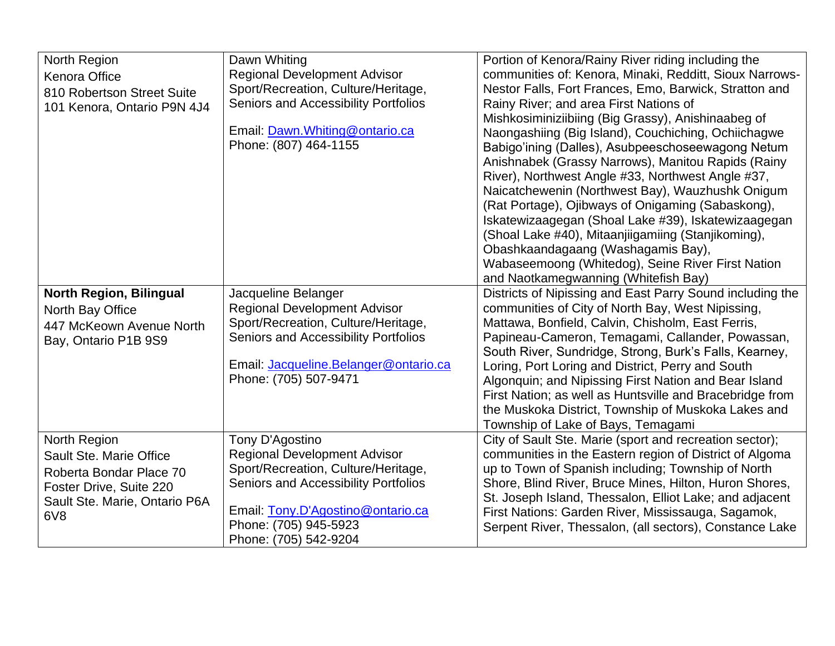| North Region                   | Dawn Whiting                                | Portion of Kenora/Rainy River riding including the        |
|--------------------------------|---------------------------------------------|-----------------------------------------------------------|
| <b>Kenora Office</b>           | <b>Regional Development Advisor</b>         | communities of: Kenora, Minaki, Redditt, Sioux Narrows-   |
| 810 Robertson Street Suite     | Sport/Recreation, Culture/Heritage,         | Nestor Falls, Fort Frances, Emo, Barwick, Stratton and    |
| 101 Kenora, Ontario P9N 4J4    | <b>Seniors and Accessibility Portfolios</b> | Rainy River; and area First Nations of                    |
|                                |                                             | Mishkosiminiziibiing (Big Grassy), Anishinaabeg of        |
|                                | Email: Dawn. Whiting@ontario.ca             | Naongashiing (Big Island), Couchiching, Ochiichagwe       |
|                                | Phone: (807) 464-1155                       | Babigo'ining (Dalles), Asubpeeschoseewagong Netum         |
|                                |                                             | Anishnabek (Grassy Narrows), Manitou Rapids (Rainy        |
|                                |                                             | River), Northwest Angle #33, Northwest Angle #37,         |
|                                |                                             | Naicatchewenin (Northwest Bay), Wauzhushk Onigum          |
|                                |                                             |                                                           |
|                                |                                             | (Rat Portage), Ojibways of Onigaming (Sabaskong),         |
|                                |                                             | Iskatewizaagegan (Shoal Lake #39), Iskatewizaagegan       |
|                                |                                             | (Shoal Lake #40), Mitaanjiigamiing (Stanjikoming),        |
|                                |                                             | Obashkaandagaang (Washagamis Bay),                        |
|                                |                                             | Wabaseemoong (Whitedog), Seine River First Nation         |
|                                |                                             | and Naotkamegwanning (Whitefish Bay)                      |
| <b>North Region, Bilingual</b> | Jacqueline Belanger                         | Districts of Nipissing and East Parry Sound including the |
| North Bay Office               | <b>Regional Development Advisor</b>         | communities of City of North Bay, West Nipissing,         |
| 447 McKeown Avenue North       | Sport/Recreation, Culture/Heritage,         | Mattawa, Bonfield, Calvin, Chisholm, East Ferris,         |
| Bay, Ontario P1B 9S9           | <b>Seniors and Accessibility Portfolios</b> | Papineau-Cameron, Temagami, Callander, Powassan,          |
|                                |                                             | South River, Sundridge, Strong, Burk's Falls, Kearney,    |
|                                | Email: Jacqueline.Belanger@ontario.ca       | Loring, Port Loring and District, Perry and South         |
|                                | Phone: (705) 507-9471                       | Algonquin; and Nipissing First Nation and Bear Island     |
|                                |                                             |                                                           |
|                                |                                             | First Nation; as well as Huntsville and Bracebridge from  |
|                                |                                             | the Muskoka District, Township of Muskoka Lakes and       |
|                                |                                             | Township of Lake of Bays, Temagami                        |
| North Region                   | Tony D'Agostino                             | City of Sault Ste. Marie (sport and recreation sector);   |
| Sault Ste. Marie Office        | <b>Regional Development Advisor</b>         | communities in the Eastern region of District of Algoma   |
| Roberta Bondar Place 70        | Sport/Recreation, Culture/Heritage,         | up to Town of Spanish including; Township of North        |
| Foster Drive, Suite 220        | <b>Seniors and Accessibility Portfolios</b> | Shore, Blind River, Bruce Mines, Hilton, Huron Shores,    |
| Sault Ste. Marie, Ontario P6A  |                                             | St. Joseph Island, Thessalon, Elliot Lake; and adjacent   |
| 6V8                            | Email: Tony.D'Agostino@ontario.ca           | First Nations: Garden River, Mississauga, Sagamok,        |
|                                | Phone: (705) 945-5923                       | Serpent River, Thessalon, (all sectors), Constance Lake   |
|                                | Phone: (705) 542-9204                       |                                                           |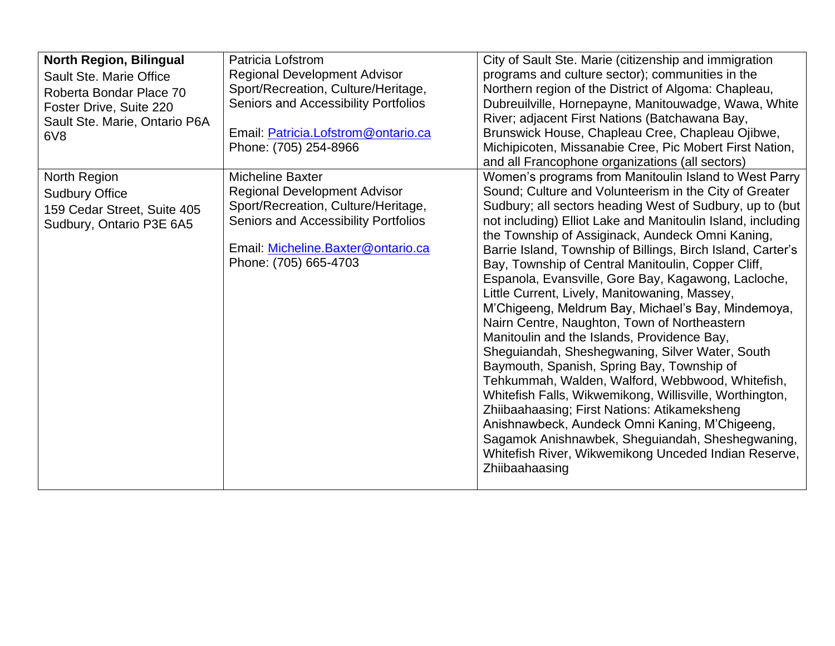| <b>North Region, Bilingual</b> | Patricia Lofstrom                    | City of Sault Ste. Marie (citizenship and immigration       |
|--------------------------------|--------------------------------------|-------------------------------------------------------------|
| Sault Ste. Marie Office        | <b>Regional Development Advisor</b>  | programs and culture sector); communities in the            |
| Roberta Bondar Place 70        | Sport/Recreation, Culture/Heritage,  | Northern region of the District of Algoma: Chapleau,        |
| Foster Drive, Suite 220        | Seniors and Accessibility Portfolios | Dubreuilville, Hornepayne, Manitouwadge, Wawa, White        |
| Sault Ste. Marie, Ontario P6A  |                                      | River; adjacent First Nations (Batchawana Bay,              |
| 6 <sup>V</sup> 8               | Email: Patricia.Lofstrom@ontario.ca  | Brunswick House, Chapleau Cree, Chapleau Ojibwe,            |
|                                | Phone: (705) 254-8966                | Michipicoten, Missanabie Cree, Pic Mobert First Nation,     |
|                                |                                      | and all Francophone organizations (all sectors)             |
| North Region                   | <b>Micheline Baxter</b>              | Women's programs from Manitoulin Island to West Parry       |
| <b>Sudbury Office</b>          | <b>Regional Development Advisor</b>  | Sound; Culture and Volunteerism in the City of Greater      |
| 159 Cedar Street, Suite 405    | Sport/Recreation, Culture/Heritage,  | Sudbury; all sectors heading West of Sudbury, up to (but    |
| Sudbury, Ontario P3E 6A5       | Seniors and Accessibility Portfolios | not including) Elliot Lake and Manitoulin Island, including |
|                                |                                      | the Township of Assiginack, Aundeck Omni Kaning,            |
|                                | Email: Micheline.Baxter@ontario.ca   | Barrie Island, Township of Billings, Birch Island, Carter's |
|                                | Phone: (705) 665-4703                | Bay, Township of Central Manitoulin, Copper Cliff,          |
|                                |                                      | Espanola, Evansville, Gore Bay, Kagawong, Lacloche,         |
|                                |                                      | Little Current, Lively, Manitowaning, Massey,               |
|                                |                                      | M'Chigeeng, Meldrum Bay, Michael's Bay, Mindemoya,          |
|                                |                                      | Nairn Centre, Naughton, Town of Northeastern                |
|                                |                                      | Manitoulin and the Islands, Providence Bay,                 |
|                                |                                      | Sheguiandah, Sheshegwaning, Silver Water, South             |
|                                |                                      | Baymouth, Spanish, Spring Bay, Township of                  |
|                                |                                      | Tehkummah, Walden, Walford, Webbwood, Whitefish,            |
|                                |                                      | Whitefish Falls, Wikwemikong, Willisville, Worthington,     |
|                                |                                      | Zhiibaahaasing; First Nations: Atikameksheng                |
|                                |                                      | Anishnawbeck, Aundeck Omni Kaning, M'Chigeeng,              |
|                                |                                      | Sagamok Anishnawbek, Sheguiandah, Sheshegwaning,            |
|                                |                                      | Whitefish River, Wikwemikong Unceded Indian Reserve,        |
|                                |                                      | Zhiibaahaasing                                              |
|                                |                                      |                                                             |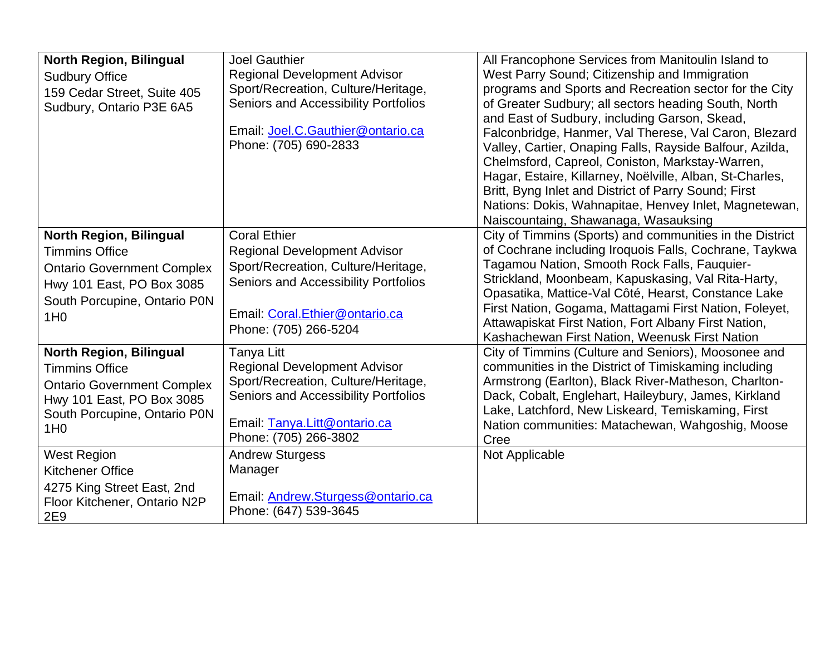| <b>North Region, Bilingual</b><br><b>Sudbury Office</b><br>159 Cedar Street, Suite 405<br>Sudbury, Ontario P3E 6A5                                                           | <b>Joel Gauthier</b><br><b>Regional Development Advisor</b><br>Sport/Recreation, Culture/Heritage,<br>Seniors and Accessibility Portfolios<br>Email: Joel.C.Gauthier@ontario.ca<br>Phone: (705) 690-2833 | All Francophone Services from Manitoulin Island to<br>West Parry Sound; Citizenship and Immigration<br>programs and Sports and Recreation sector for the City<br>of Greater Sudbury; all sectors heading South, North<br>and East of Sudbury, including Garson, Skead,<br>Falconbridge, Hanmer, Val Therese, Val Caron, Blezard<br>Valley, Cartier, Onaping Falls, Rayside Balfour, Azilda,<br>Chelmsford, Capreol, Coniston, Markstay-Warren,<br>Hagar, Estaire, Killarney, Noëlville, Alban, St-Charles,<br>Britt, Byng Inlet and District of Parry Sound; First<br>Nations: Dokis, Wahnapitae, Henvey Inlet, Magnetewan,<br>Naiscountaing, Shawanaga, Wasauksing |
|------------------------------------------------------------------------------------------------------------------------------------------------------------------------------|----------------------------------------------------------------------------------------------------------------------------------------------------------------------------------------------------------|---------------------------------------------------------------------------------------------------------------------------------------------------------------------------------------------------------------------------------------------------------------------------------------------------------------------------------------------------------------------------------------------------------------------------------------------------------------------------------------------------------------------------------------------------------------------------------------------------------------------------------------------------------------------|
| <b>North Region, Bilingual</b><br><b>Timmins Office</b><br><b>Ontario Government Complex</b><br>Hwy 101 East, PO Box 3085<br>South Porcupine, Ontario P0N<br>1H <sub>0</sub> | <b>Coral Ethier</b><br><b>Regional Development Advisor</b><br>Sport/Recreation, Culture/Heritage,<br>Seniors and Accessibility Portfolios<br>Email: Coral.Ethier@ontario.ca<br>Phone: (705) 266-5204     | City of Timmins (Sports) and communities in the District<br>of Cochrane including Iroquois Falls, Cochrane, Taykwa<br>Tagamou Nation, Smooth Rock Falls, Fauquier-<br>Strickland, Moonbeam, Kapuskasing, Val Rita-Harty,<br>Opasatika, Mattice-Val Côté, Hearst, Constance Lake<br>First Nation, Gogama, Mattagami First Nation, Foleyet,<br>Attawapiskat First Nation, Fort Albany First Nation,<br>Kashachewan First Nation, Weenusk First Nation                                                                                                                                                                                                                 |
| <b>North Region, Bilingual</b><br><b>Timmins Office</b><br><b>Ontario Government Complex</b><br>Hwy 101 East, PO Box 3085<br>South Porcupine, Ontario P0N<br>1H <sub>0</sub> | Tanya Litt<br><b>Regional Development Advisor</b><br>Sport/Recreation, Culture/Heritage,<br>Seniors and Accessibility Portfolios<br>Email: Tanya.Litt@ontario.ca<br>Phone: (705) 266-3802                | City of Timmins (Culture and Seniors), Moosonee and<br>communities in the District of Timiskaming including<br>Armstrong (Earlton), Black River-Matheson, Charlton-<br>Dack, Cobalt, Englehart, Haileybury, James, Kirkland<br>Lake, Latchford, New Liskeard, Temiskaming, First<br>Nation communities: Matachewan, Wahgoshig, Moose<br>Cree                                                                                                                                                                                                                                                                                                                        |
| <b>West Region</b><br><b>Kitchener Office</b><br>4275 King Street East, 2nd<br>Floor Kitchener, Ontario N2P<br>2E9                                                           | <b>Andrew Sturgess</b><br>Manager<br>Email: Andrew.Sturgess@ontario.ca<br>Phone: (647) 539-3645                                                                                                          | Not Applicable                                                                                                                                                                                                                                                                                                                                                                                                                                                                                                                                                                                                                                                      |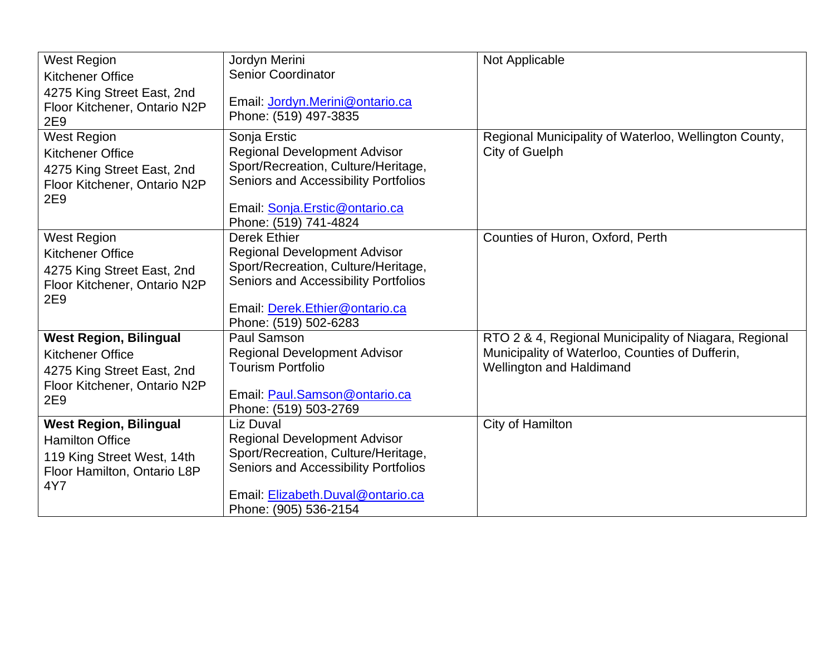| <b>West Region</b><br><b>Kitchener Office</b>                                                                                 | Jordyn Merini<br><b>Senior Coordinator</b>                                                                                                                                                           | Not Applicable                                                                                                                              |
|-------------------------------------------------------------------------------------------------------------------------------|------------------------------------------------------------------------------------------------------------------------------------------------------------------------------------------------------|---------------------------------------------------------------------------------------------------------------------------------------------|
| 4275 King Street East, 2nd<br>Floor Kitchener, Ontario N2P<br>2E9                                                             | Email: Jordyn.Merini@ontario.ca<br>Phone: (519) 497-3835                                                                                                                                             |                                                                                                                                             |
| <b>West Region</b><br><b>Kitchener Office</b><br>4275 King Street East, 2nd<br>Floor Kitchener, Ontario N2P<br>2E9            | Sonja Erstic<br><b>Regional Development Advisor</b><br>Sport/Recreation, Culture/Heritage,<br>Seniors and Accessibility Portfolios<br>Email: Sonja.Erstic@ontario.ca<br>Phone: (519) 741-4824        | Regional Municipality of Waterloo, Wellington County,<br>City of Guelph                                                                     |
| <b>West Region</b><br><b>Kitchener Office</b><br>4275 King Street East, 2nd<br>Floor Kitchener, Ontario N2P<br>2E9            | <b>Derek Ethier</b><br><b>Regional Development Advisor</b><br>Sport/Recreation, Culture/Heritage,<br>Seniors and Accessibility Portfolios<br>Email: Derek.Ethier@ontario.ca<br>Phone: (519) 502-6283 | Counties of Huron, Oxford, Perth                                                                                                            |
| <b>West Region, Bilingual</b><br><b>Kitchener Office</b><br>4275 King Street East, 2nd<br>Floor Kitchener, Ontario N2P<br>2E9 | Paul Samson<br><b>Regional Development Advisor</b><br><b>Tourism Portfolio</b><br>Email: Paul.Samson@ontario.ca<br>Phone: (519) 503-2769                                                             | RTO 2 & 4, Regional Municipality of Niagara, Regional<br>Municipality of Waterloo, Counties of Dufferin,<br><b>Wellington and Haldimand</b> |
| <b>West Region, Bilingual</b><br><b>Hamilton Office</b><br>119 King Street West, 14th<br>Floor Hamilton, Ontario L8P<br>4Y7   | Liz Duval<br><b>Regional Development Advisor</b><br>Sport/Recreation, Culture/Heritage,<br>Seniors and Accessibility Portfolios<br>Email: Elizabeth.Duval@ontario.ca<br>Phone: (905) 536-2154        | City of Hamilton                                                                                                                            |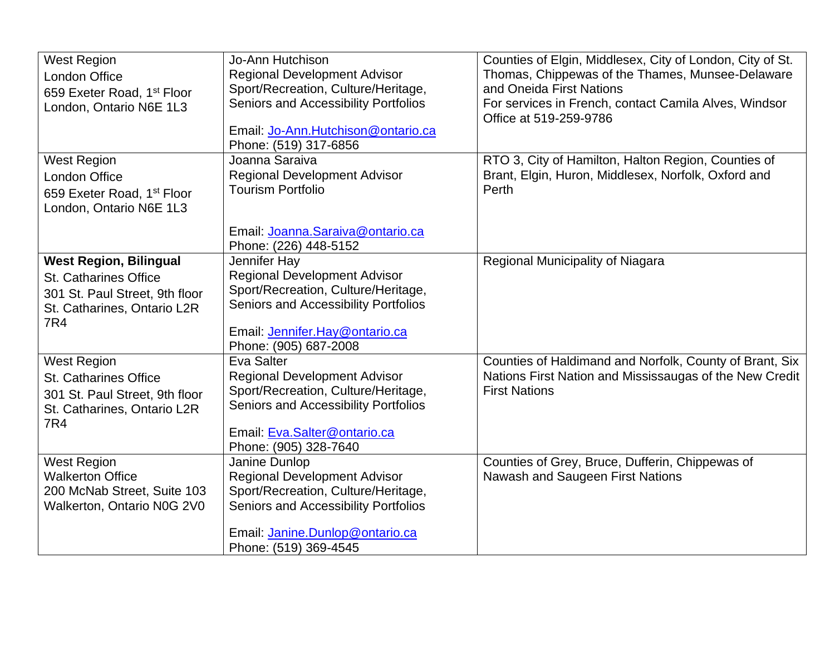| <b>West Region</b><br><b>London Office</b><br>659 Exeter Road, 1 <sup>st</sup> Floor<br>London, Ontario N6E 1L3                | Jo-Ann Hutchison<br><b>Regional Development Advisor</b><br>Sport/Recreation, Culture/Heritage,<br>Seniors and Accessibility Portfolios<br>Email: Jo-Ann.Hutchison@ontario.ca<br>Phone: (519) 317-6856 | Counties of Elgin, Middlesex, City of London, City of St.<br>Thomas, Chippewas of the Thames, Munsee-Delaware<br>and Oneida First Nations<br>For services in French, contact Camila Alves, Windsor<br>Office at 519-259-9786 |
|--------------------------------------------------------------------------------------------------------------------------------|-------------------------------------------------------------------------------------------------------------------------------------------------------------------------------------------------------|------------------------------------------------------------------------------------------------------------------------------------------------------------------------------------------------------------------------------|
| <b>West Region</b><br>London Office<br>659 Exeter Road, 1 <sup>st</sup> Floor<br>London, Ontario N6E 1L3                       | Joanna Saraiva<br><b>Regional Development Advisor</b><br><b>Tourism Portfolio</b><br>Email: Joanna.Saraiva@ontario.ca<br>Phone: (226) 448-5152                                                        | RTO 3, City of Hamilton, Halton Region, Counties of<br>Brant, Elgin, Huron, Middlesex, Norfolk, Oxford and<br>Perth                                                                                                          |
| <b>West Region, Bilingual</b><br>St. Catharines Office<br>301 St. Paul Street, 9th floor<br>St. Catharines, Ontario L2R<br>7R4 | Jennifer Hay<br><b>Regional Development Advisor</b><br>Sport/Recreation, Culture/Heritage,<br>Seniors and Accessibility Portfolios<br>Email: Jennifer.Hay@ontario.ca<br>Phone: (905) 687-2008         | Regional Municipality of Niagara                                                                                                                                                                                             |
| <b>West Region</b><br>St. Catharines Office<br>301 St. Paul Street, 9th floor<br>St. Catharines, Ontario L2R<br>7R4            | Eva Salter<br><b>Regional Development Advisor</b><br>Sport/Recreation, Culture/Heritage,<br>Seniors and Accessibility Portfolios<br>Email: Eva.Salter@ontario.ca<br>Phone: (905) 328-7640             | Counties of Haldimand and Norfolk, County of Brant, Six<br>Nations First Nation and Mississaugas of the New Credit<br><b>First Nations</b>                                                                                   |
| <b>West Region</b><br><b>Walkerton Office</b><br>200 McNab Street, Suite 103<br>Walkerton, Ontario N0G 2V0                     | Janine Dunlop<br><b>Regional Development Advisor</b><br>Sport/Recreation, Culture/Heritage,<br>Seniors and Accessibility Portfolios<br>Email: Janine.Dunlop@ontario.ca<br>Phone: (519) 369-4545       | Counties of Grey, Bruce, Dufferin, Chippewas of<br>Nawash and Saugeen First Nations                                                                                                                                          |